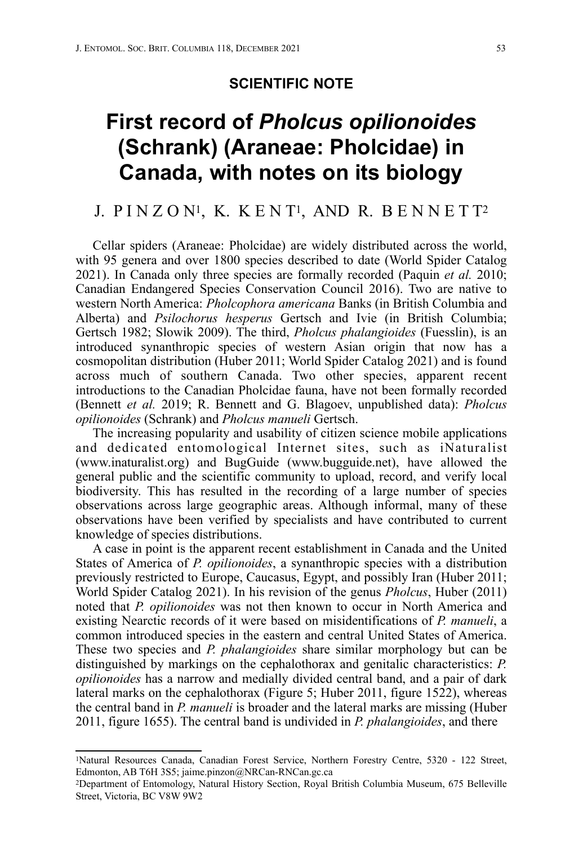## **SCIENTIFIC NOTE**

# **First record of** *Pholcus opilionoides*  **(Schrank) (Araneae: Pholcidae) in Canada, with notes on its biology**

## J. P I N Z O N1, K. K E N T1, AND R. B E N N E T T2

Cellar spiders (Araneae: Pholcidae) are widely distributed across the world, with 95 genera and over 1800 species described to date (World Spider Catalog 2021). In Canada only three species are formally recorded (Paquin *et al.* 2010; Canadian Endangered Species Conservation Council 2016). Two are native to western North America: *Pholcophora americana* Banks (in British Columbia and Alberta) and *Psilochorus hesperus* Gertsch and Ivie (in British Columbia; Gertsch 1982; Slowik 2009). The third, *Pholcus phalangioides* (Fuesslin), is an introduced synanthropic species of western Asian origin that now has a cosmopolitan distribution (Huber 2011; World Spider Catalog 2021) and is found across much of southern Canada. Two other species, apparent recent introductions to the Canadian Pholcidae fauna, have not been formally recorded (Bennett *et al.* 2019; R. Bennett and G. Blagoev, unpublished data): *Pholcus opilionoides* (Schrank) and *Pholcus manueli* Gertsch.

The increasing popularity and usability of citizen science mobile applications and dedicated entomological Internet sites, such as iNaturalist (www.inaturalist.org) and BugGuide (www.bugguide.net), have allowed the general public and the scientific community to upload, record, and verify local biodiversity. This has resulted in the recording of a large number of species observations across large geographic areas. Although informal, many of these observations have been verified by specialists and have contributed to current knowledge of species distributions.

A case in point is the apparent recent establishment in Canada and the United States of America of *P. opilionoides*, a synanthropic species with a distribution previously restricted to Europe, Caucasus, Egypt, and possibly Iran (Huber 2011; World Spider Catalog 2021). In his revision of the genus *Pholcus*, Huber (2011) noted that *P. opilionoides* was not then known to occur in North America and existing Nearctic records of it were based on misidentifications of *P. manueli*, a common introduced species in the eastern and central United States of America. These two species and *P. phalangioides* share similar morphology but can be distinguished by markings on the cephalothorax and genitalic characteristics: *P. opilionoides* has a narrow and medially divided central band, and a pair of dark lateral marks on the cephalothorax (Figure 5; Huber 2011, figure 1522), whereas the central band in *P. manueli* is broader and the lateral marks are missing (Huber 2011, figure 1655). The central band is undivided in *P. phalangioides*, and there

<sup>1</sup>Natural Resources Canada, Canadian Forest Service, Northern Forestry Centre, 5320 - 122 Street, Edmonton, AB T6H 3S5; jaime.pinzon@NRCan-RNCan.gc.ca

<sup>2</sup>Department of Entomology, Natural History Section, Royal British Columbia Museum, 675 Belleville Street, Victoria, BC V8W 9W2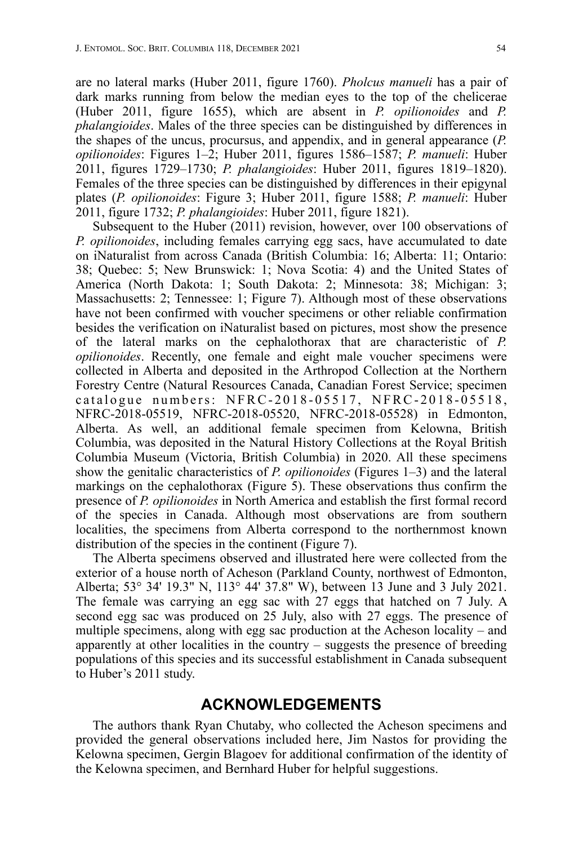are no lateral marks (Huber 2011, figure 1760). *Pholcus manueli* has a pair of dark marks running from below the median eyes to the top of the chelicerae (Huber 2011, figure 1655), which are absent in *P. opilionoides* and *P. phalangioides*. Males of the three species can be distinguished by differences in the shapes of the uncus, procursus, and appendix, and in general appearance (*P. opilionoides*: Figures 1–2; Huber 2011, figures 1586–1587; *P. manueli*: Huber 2011, figures 1729–1730; *P. phalangioides*: Huber 2011, figures 1819–1820). Females of the three species can be distinguished by differences in their epigynal plates (*P. opilionoides*: Figure 3; Huber 2011, figure 1588; *P. manueli*: Huber 2011, figure 1732; *P. phalangioides*: Huber 2011, figure 1821).

Subsequent to the Huber (2011) revision, however, over 100 observations of *P. opilionoides*, including females carrying egg sacs, have accumulated to date on iNaturalist from across Canada (British Columbia: 16; Alberta: 11; Ontario: 38; Quebec: 5; New Brunswick: 1; Nova Scotia: 4) and the United States of America (North Dakota: 1; South Dakota: 2; Minnesota: 38; Michigan: 3; Massachusetts: 2; Tennessee: 1; Figure 7). Although most of these observations have not been confirmed with voucher specimens or other reliable confirmation besides the verification on iNaturalist based on pictures, most show the presence of the lateral marks on the cephalothorax that are characteristic of *P. opilionoides*. Recently, one female and eight male voucher specimens were collected in Alberta and deposited in the Arthropod Collection at the Northern Forestry Centre (Natural Resources Canada, Canadian Forest Service; specimen catalogue numbers: NFRC-2018-05517, NFRC-2018-05518, NFRC-2018-05519, NFRC-2018-05520, NFRC-2018-05528) in Edmonton, Alberta. As well, an additional female specimen from Kelowna, British Columbia, was deposited in the Natural History Collections at the Royal British Columbia Museum (Victoria, British Columbia) in 2020. All these specimens show the genitalic characteristics of *P. opilionoides* (Figures 1–3) and the lateral markings on the cephalothorax (Figure 5). These observations thus confirm the presence of *P. opilionoides* in North America and establish the first formal record of the species in Canada. Although most observations are from southern localities, the specimens from Alberta correspond to the northernmost known distribution of the species in the continent (Figure 7).

The Alberta specimens observed and illustrated here were collected from the exterior of a house north of Acheson (Parkland County, northwest of Edmonton, Alberta; 53° 34' 19.3" N, 113° 44' 37.8" W), between 13 June and 3 July 2021. The female was carrying an egg sac with 27 eggs that hatched on 7 July. A second egg sac was produced on 25 July, also with 27 eggs. The presence of multiple specimens, along with egg sac production at the Acheson locality – and apparently at other localities in the country – suggests the presence of breeding populations of this species and its successful establishment in Canada subsequent to Huber's 2011 study.

### **ACKNOWLEDGEMENTS**

The authors thank Ryan Chutaby, who collected the Acheson specimens and provided the general observations included here, Jim Nastos for providing the Kelowna specimen, Gergin Blagoev for additional confirmation of the identity of the Kelowna specimen, and Bernhard Huber for helpful suggestions.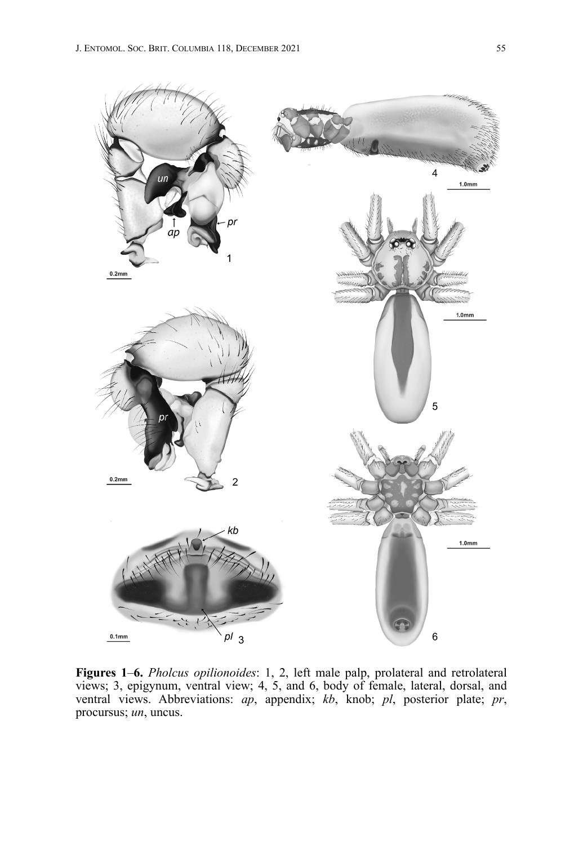

**Figures 1**–**6.** *Pholcus opilionoides*: 1, 2, left male palp, prolateral and retrolateral views; 3, epigynum, ventral view; 4, 5, and 6, body of female, lateral, dorsal, and ventral views. Abbreviations: *ap*, appendix; *kb*, knob; *pl*, posterior plate; *pr*, procursus; *un*, uncus.